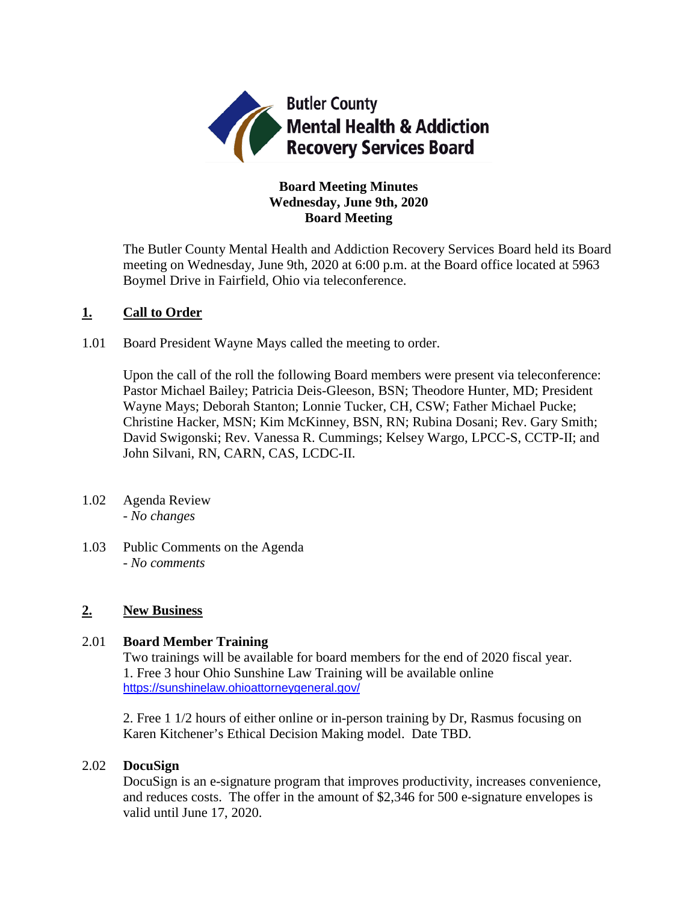

# **Board Meeting Minutes Wednesday, June 9th, 2020 Board Meeting**

The Butler County Mental Health and Addiction Recovery Services Board held its Board meeting on Wednesday, June 9th, 2020 at 6:00 p.m. at the Board office located at 5963 Boymel Drive in Fairfield, Ohio via teleconference.

## **1. Call to Order**

1.01 Board President Wayne Mays called the meeting to order.

Upon the call of the roll the following Board members were present via teleconference: Pastor Michael Bailey; Patricia Deis-Gleeson, BSN; Theodore Hunter, MD; President Wayne Mays; Deborah Stanton; Lonnie Tucker, CH, CSW; Father Michael Pucke; Christine Hacker, MSN; Kim McKinney, BSN, RN; Rubina Dosani; Rev. Gary Smith; David Swigonski; Rev. Vanessa R. Cummings; Kelsey Wargo, LPCC-S, CCTP-II; and John Silvani, RN, CARN, CAS, LCDC-II.

- 1.02 Agenda Review *- No changes*
- 1.03 Public Comments on the Agenda - *No comments*

## **2. New Business**

## 2.01 **Board Member Training**

Two trainings will be available for board members for the end of 2020 fiscal year. 1. Free 3 hour Ohio Sunshine Law Training will be available online <https://sunshinelaw.ohioattorneygeneral.gov/>

2. Free 1 1/2 hours of either online or in-person training by Dr, Rasmus focusing on Karen Kitchener's Ethical Decision Making model. Date TBD.

## 2.02 **DocuSign**

DocuSign is an e-signature program that improves productivity, increases convenience, and reduces costs. The offer in the amount of \$2,346 for 500 e-signature envelopes is valid until June 17, 2020.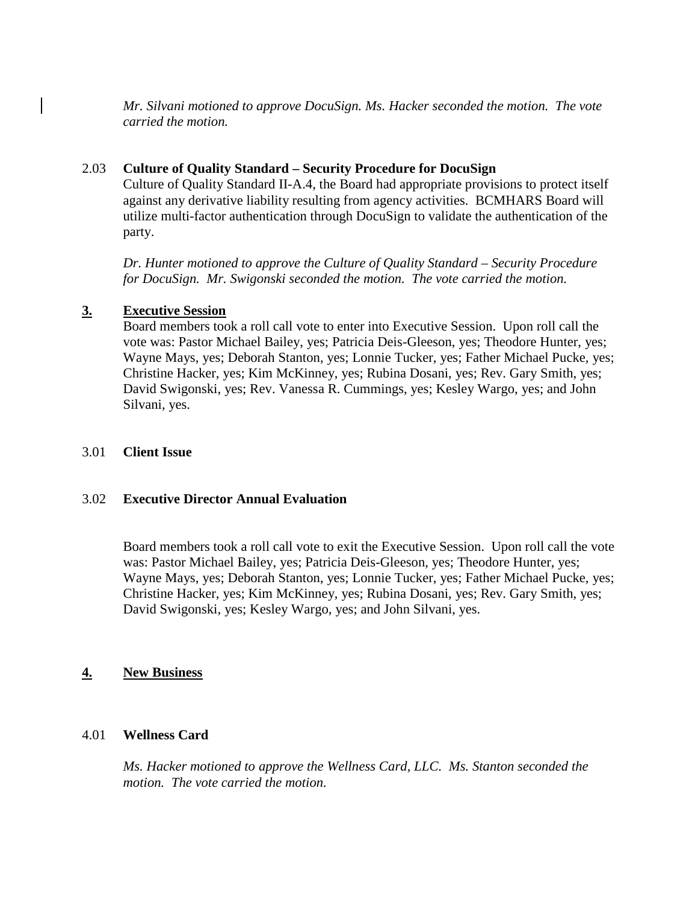*Mr. Silvani motioned to approve DocuSign. Ms. Hacker seconded the motion. The vote carried the motion.*

### 2.03 **Culture of Quality Standard – Security Procedure for DocuSign**

Culture of Quality Standard II-A.4, the Board had appropriate provisions to protect itself against any derivative liability resulting from agency activities. BCMHARS Board will utilize multi-factor authentication through DocuSign to validate the authentication of the party.

*Dr. Hunter motioned to approve the Culture of Quality Standard – Security Procedure for DocuSign. Mr. Swigonski seconded the motion. The vote carried the motion.* 

### **3. Executive Session**

Board members took a roll call vote to enter into Executive Session. Upon roll call the vote was: Pastor Michael Bailey, yes; Patricia Deis-Gleeson, yes; Theodore Hunter, yes; Wayne Mays, yes; Deborah Stanton, yes; Lonnie Tucker, yes; Father Michael Pucke, yes; Christine Hacker, yes; Kim McKinney, yes; Rubina Dosani, yes; Rev. Gary Smith, yes; David Swigonski, yes; Rev. Vanessa R. Cummings, yes; Kesley Wargo, yes; and John Silvani, yes.

#### 3.01 **Client Issue**

#### 3.02 **Executive Director Annual Evaluation**

Board members took a roll call vote to exit the Executive Session. Upon roll call the vote was: Pastor Michael Bailey, yes; Patricia Deis-Gleeson, yes; Theodore Hunter, yes; Wayne Mays, yes; Deborah Stanton, yes; Lonnie Tucker, yes; Father Michael Pucke, yes; Christine Hacker, yes; Kim McKinney, yes; Rubina Dosani, yes; Rev. Gary Smith, yes; David Swigonski, yes; Kesley Wargo, yes; and John Silvani, yes.

#### **4. New Business**

#### 4.01 **Wellness Card**

*Ms. Hacker motioned to approve the Wellness Card, LLC. Ms. Stanton seconded the motion. The vote carried the motion.*